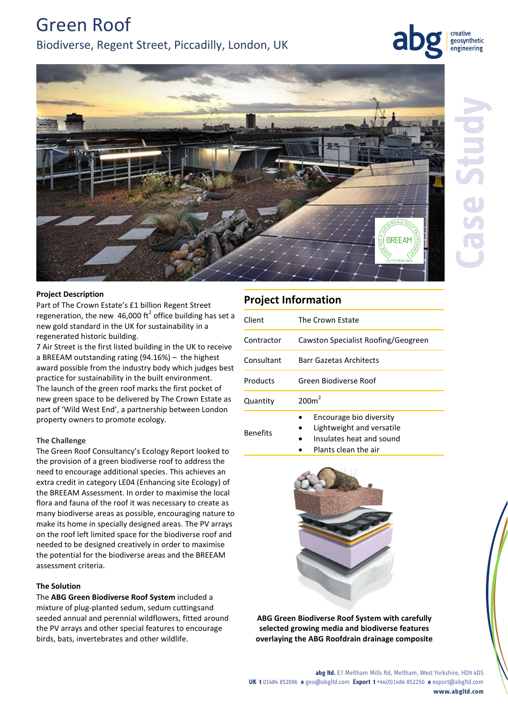Green Roof Biodiverse, Regent Street, Piccadilly, London, UK

geosynthetic engineering



# **Project Description**

Part of The Crown Estate's £1 billion Regent Street regeneration, the new 46,000 ft<sup>2</sup> office building has set a new gold standard in the UK for sustainability in a regenerated historic building.

7 Air Street is the first listed building in the UK to receive a BREEAM outstanding rating (94.16%) – the highest award possible from the industry body which judges best practice for sustainability in the built environment. The launch of the green roof marks the first pocket of new green space to be delivered by The Crown Estate as part of 'Wild West End', a partnership between London property owners to promote ecology.

## **The Challenge**

The Green Roof Consultancy's Ecology Report looked to the provision of a green biodiverse roof to address the need to encourage additional species. This achieves an extra credit in category LE04 (Enhancing site Ecology) of the BREEAM Assessment. In order to maximise the local flora and fauna of the roof it was necessary to create as many biodiverse areas as possible, encouraging nature to make its home in specially designed areas. The PV arrays on the roof left limited space for the biodiverse roof and needed to be designed creatively in order to maximise the potential for the biodiverse areas and the BREEAM assessment criteria.

### **The Solution**

The **ABG Green Biodiverse Roof System** included a mixture of plug-planted sedum, sedum cuttingsand seeded annual and perennial wildflowers, fitted around the PV arrays and other special features to encourage birds, bats, invertebrates and other wildlife.

# **Project Information**

| Client          | The Crown Estate                                                                 |
|-----------------|----------------------------------------------------------------------------------|
| Contractor      | Cawston Specialist Roofing/Geogreen                                              |
| Consultant      | <b>Barr Gazetas Architects</b>                                                   |
| Products        | Green Biodiverse Roof                                                            |
| Quantity        | 200m <sup>2</sup>                                                                |
| <b>Benefits</b> | Encourage bio diversity<br>Lightweight and versatile<br>Insulates heat and sound |

Plants clean the air



**ABG Green Biodiverse Roof System with carefully selected growing media and biodiverse features overlaying the ABG Roofdrain drainage composite**

**abg ltd.** E7 Meltham Mills Rd, Meltham, West Yorkshire, HD9 4DS **UK t** 01484 852096 **e** geo@abgltd.com **Export t** +44(0)1484 852250 **e** export@abgltd.com **www.abgltd.com**